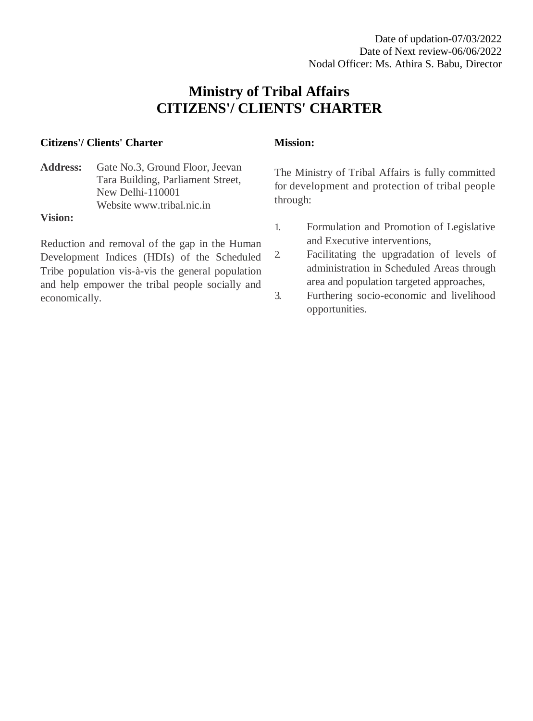# **Ministry of Tribal Affairs CITIZENS'/ CLIENTS' CHARTER**

### **Citizens'/ Clients' Charter**

#### Address: Gate No.3, Ground Floor, Jeevan Tara Building, Parliament Street, New Delhi-110001 Website [www.tribal.nic.in](http://www.tribal.nic.in/)

#### **Vision:**

Reduction and removal of the gap in the Human Development Indices (HDIs) of the Scheduled Tribe population vis-à-vis the general population and help empower the tribal people socially and economically.

#### **Mission:**

The Ministry of Tribal Affairs is fully committed for development and protection of tribal people through:

- 1. Formulation and Promotion of Legislative and Executive interventions,
- 2. Facilitating the upgradation of levels of administration in Scheduled Areas through area and population targeted approaches,
- 3. Furthering socio-economic and livelihood opportunities.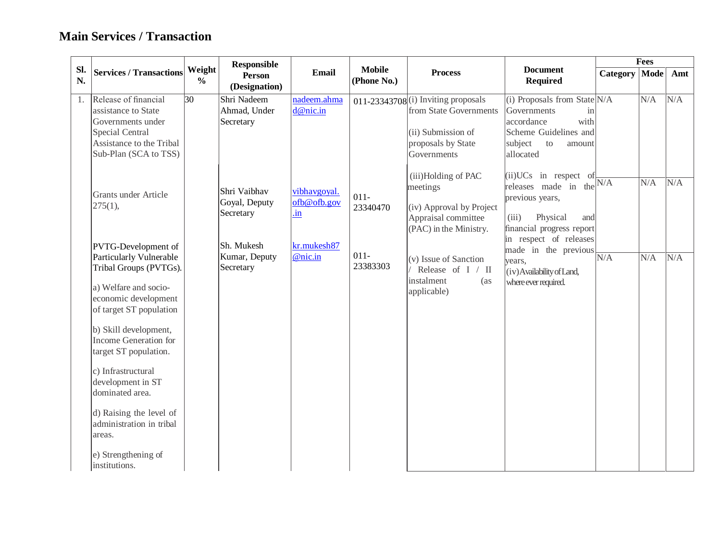## **Main Services / Transaction**

|           |                                                                                                                                                                                                                                                                                                                                                                |                         | <b>Responsible</b>                                       |                                                          |                              |                                                                                                                          |                                                                                                                                                            |          | <b>Fees</b> |     |
|-----------|----------------------------------------------------------------------------------------------------------------------------------------------------------------------------------------------------------------------------------------------------------------------------------------------------------------------------------------------------------------|-------------------------|----------------------------------------------------------|----------------------------------------------------------|------------------------------|--------------------------------------------------------------------------------------------------------------------------|------------------------------------------------------------------------------------------------------------------------------------------------------------|----------|-------------|-----|
| Sl.<br>N. | <b>Services / Transactions</b>                                                                                                                                                                                                                                                                                                                                 | Weight<br>$\frac{6}{6}$ | <b>Person</b><br>(Designation)                           | Email                                                    | <b>Mobile</b><br>(Phone No.) | <b>Process</b>                                                                                                           | <b>Document</b><br><b>Required</b>                                                                                                                         | Category | Mode        | Amt |
| 1.        | Release of financial<br>assistance to State<br>Governments under<br>Special Central<br>Assistance to the Tribal<br>Sub-Plan (SCA to TSS)                                                                                                                                                                                                                       | 30                      | Shri Nadeem<br>Ahmad, Under<br>Secretary                 | nadeem.ahma<br>d@nic.in                                  |                              | 011-23343708 (i) Inviting proposals<br>from State Governments<br>(ii) Submission of<br>proposals by State<br>Governments | (i) Proposals from State $N/A$<br>Governments<br>in<br>with<br>accordance<br>Scheme Guidelines and<br>subject<br>to<br>amount<br>allocated                 |          | N/A         | N/A |
|           | Grants under Article<br>$275(1)$ ,                                                                                                                                                                                                                                                                                                                             |                         | Shri Vaibhav<br>Goyal, Deputy<br>Secretary<br>Sh. Mukesh | vibhavgoyal.<br>ofb@ofb.gov<br>$\cdot$ in<br>kr.mukesh87 | $011 -$<br>23340470          | (iii)Holding of PAC<br>meetings<br>(iv) Approval by Project<br>Appraisal committee<br>(PAC) in the Ministry.             | (ii) UCs in respect of<br>releases made in the $N/A$<br>previous years,<br>(iii)<br>Physical<br>and<br>financial progress report<br>in respect of releases |          | N/A         | N/A |
|           | PVTG-Development of<br>Particularly Vulnerable<br>Tribal Groups (PVTGs).<br>a) Welfare and socio-<br>economic development<br>of target ST population<br>b) Skill development,<br>Income Generation for<br>target ST population.<br>c) Infrastructural<br>development in ST<br>dominated area.<br>d) Raising the level of<br>administration in tribal<br>areas. |                         | Kumar, Deputy<br>Secretary                               | @nic.in                                                  | $011 -$<br>23383303          | (v) Issue of Sanction<br>Release of I / II<br>instalment<br>(as<br>applicable)                                           | made in the previous<br>years,<br>(iv) Availability of Land,<br>where ever required.                                                                       | N/A      | N/A         | N/A |
|           | e) Strengthening of<br>institutions.                                                                                                                                                                                                                                                                                                                           |                         |                                                          |                                                          |                              |                                                                                                                          |                                                                                                                                                            |          |             |     |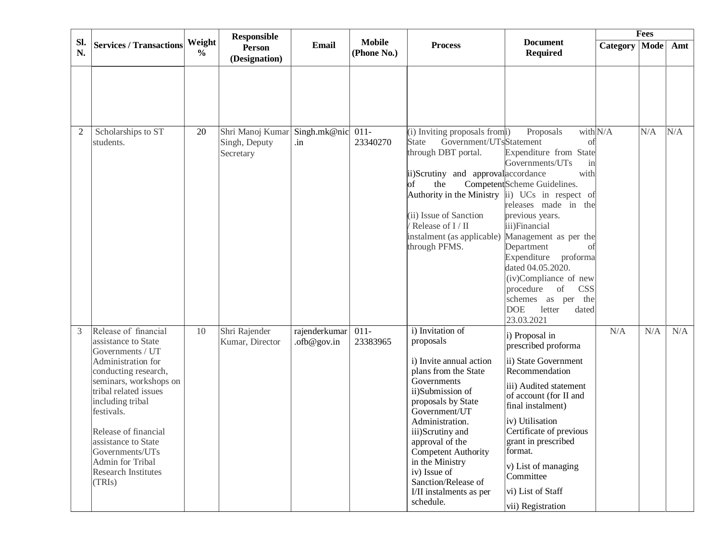|                |                                                                                                                                                                                                                                                                                                                                  |                         | <b>Responsible</b>                             |                                 |                              |                                                                                                                                                                                                                                                                                                                                                      |                                                                                                                                                                                                                                                                                                                                                                                                 |                 | <b>Fees</b> |     |
|----------------|----------------------------------------------------------------------------------------------------------------------------------------------------------------------------------------------------------------------------------------------------------------------------------------------------------------------------------|-------------------------|------------------------------------------------|---------------------------------|------------------------------|------------------------------------------------------------------------------------------------------------------------------------------------------------------------------------------------------------------------------------------------------------------------------------------------------------------------------------------------------|-------------------------------------------------------------------------------------------------------------------------------------------------------------------------------------------------------------------------------------------------------------------------------------------------------------------------------------------------------------------------------------------------|-----------------|-------------|-----|
| SI.<br>N.      | <b>Services / Transactions</b>                                                                                                                                                                                                                                                                                                   | Weight<br>$\frac{0}{0}$ | Person<br>(Designation)                        | Email                           | <b>Mobile</b><br>(Phone No.) | <b>Process</b>                                                                                                                                                                                                                                                                                                                                       | <b>Document</b><br><b>Required</b>                                                                                                                                                                                                                                                                                                                                                              | Category   Mode |             | Amt |
|                |                                                                                                                                                                                                                                                                                                                                  |                         |                                                |                                 |                              |                                                                                                                                                                                                                                                                                                                                                      |                                                                                                                                                                                                                                                                                                                                                                                                 |                 |             |     |
| $\overline{2}$ | Scholarships to ST<br>students.                                                                                                                                                                                                                                                                                                  | 20                      | Shri Manoj Kumar<br>Singh, Deputy<br>Secretary | Singh.mk@nic 011-<br>.in        | 23340270                     | (i) Inviting proposals from<br>Government/UTsStatement<br><b>State</b><br>through DBT portal.<br>ii)Scrutiny and approval accordance<br>$\log$<br>the<br>Authority in the Ministry $\ $ i) UCs in respect of<br>(ii) Issue of Sanction<br>Release of I / II<br>instalment (as applicable)<br>through PFMS.                                           | Proposals<br>οt<br>Expenditure from State<br>Governments/UTs<br>$\sin$<br>with<br>Competent Scheme Guidelines.<br>releases made in the<br>previous years.<br>iii)Financial<br>Management as per the<br>Department<br>of<br>Expenditure<br>proforma<br>dated 04.05.2020.<br>(iv)Compliance of new<br>procedure of<br>CSS<br>schemes as per<br>the<br><b>DOE</b><br>letter<br>dated<br>23.03.2021 | with $N/A$      | N/A         | N/A |
| 3              | Release of financial<br>assistance to State<br>Governments / UT<br>Administration for<br>conducting research,<br>seminars, workshops on<br>tribal related issues<br>including tribal<br>festivals.<br>Release of financial<br>assistance to State<br>Governments/UTs<br>Admin for Tribal<br><b>Research Institutes</b><br>(TRIs) | 10                      | Shri Rajender<br>Kumar, Director               | rajenderkumar<br>$.$ ofb@gov.in | $011-$<br>23383965           | i) Invitation of<br>proposals<br>i) Invite annual action<br>plans from the State<br>Governments<br>ii)Submission of<br>proposals by State<br>Government/UT<br>Administration.<br>iii)Scrutiny and<br>approval of the<br><b>Competent Authority</b><br>in the Ministry<br>iv) Issue of<br>Sanction/Release of<br>I/II instalments as per<br>schedule. | i) Proposal in<br>prescribed proforma<br>ii) State Government<br>Recommendation<br>iii) Audited statement<br>of account (for II and<br>final instalment)<br>iv) Utilisation<br>Certificate of previous<br>grant in prescribed<br>format.<br>v) List of managing<br>Committee<br>vi) List of Staff<br>vii) Registration                                                                          | N/A             | N/A         | N/A |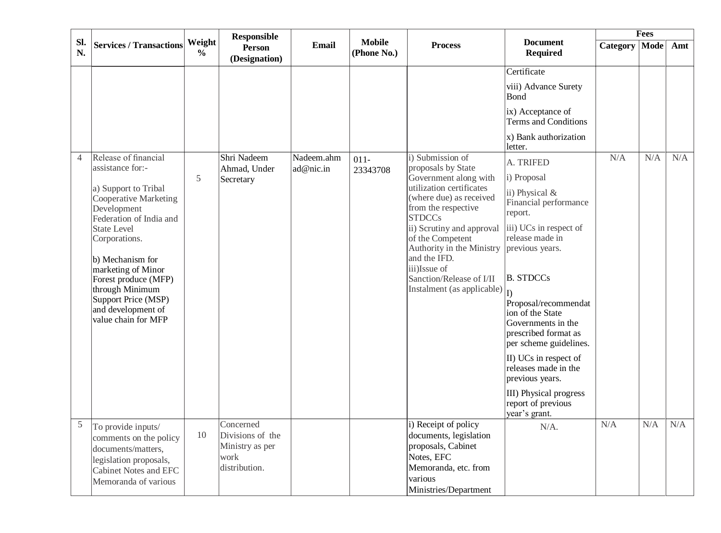|                |                                                                                              |                         | <b>Responsible</b>                                       |            |                              |                                                                                             |                                                                                                                  |                      | <b>Fees</b> |     |
|----------------|----------------------------------------------------------------------------------------------|-------------------------|----------------------------------------------------------|------------|------------------------------|---------------------------------------------------------------------------------------------|------------------------------------------------------------------------------------------------------------------|----------------------|-------------|-----|
| SI.<br>N.      | Services / Transactions                                                                      | Weight<br>$\frac{0}{0}$ | Person<br>(Designation)                                  | Email      | <b>Mobile</b><br>(Phone No.) | <b>Process</b>                                                                              | <b>Document</b><br><b>Required</b>                                                                               | <b>Category</b> Mode |             | Amt |
|                |                                                                                              |                         |                                                          |            |                              |                                                                                             | Certificate                                                                                                      |                      |             |     |
|                |                                                                                              |                         |                                                          |            |                              |                                                                                             | viii) Advance Surety<br>Bond                                                                                     |                      |             |     |
|                |                                                                                              |                         |                                                          |            |                              |                                                                                             | ix) Acceptance of<br>Terms and Conditions                                                                        |                      |             |     |
|                |                                                                                              |                         |                                                          |            |                              |                                                                                             | x) Bank authorization<br>letter.                                                                                 |                      |             |     |
| $\overline{4}$ | Release of financial<br>assistance for:-                                                     |                         | Shri Nadeem                                              | Nadeem.ahm | $011 -$                      | i) Submission of<br>proposals by State                                                      | A. TRIFED                                                                                                        | N/A                  | N/A         | N/A |
|                |                                                                                              | 5                       | Ahmad, Under<br>Secretary                                | ad@nic.in  | 23343708                     | Government along with                                                                       | i) Proposal                                                                                                      |                      |             |     |
|                | a) Support to Tribal<br>Cooperative Marketing<br>Development<br>Federation of India and      |                         |                                                          |            |                              | utilization certificates<br>(where due) as received<br>from the respective<br><b>STDCCs</b> | ii) Physical &<br>Financial performance<br>report.                                                               |                      |             |     |
|                | <b>State Level</b><br>Corporations.<br>b) Mechanism for                                      |                         |                                                          |            |                              | ii) Scrutiny and approval<br>of the Competent<br>Authority in the Ministry<br>and the IFD.  | iii) UCs in respect of<br>release made in<br>previous years.                                                     |                      |             |     |
|                | marketing of Minor<br>Forest produce (MFP)<br>through Minimum                                |                         |                                                          |            |                              | iii)Issue of<br>Sanction/Release of I/II<br>Instalment (as applicable) $\vert_{\Gamma}$     | <b>B.</b> STDCCs                                                                                                 |                      |             |     |
|                | Support Price (MSP)<br>and development of<br>value chain for MFP                             |                         |                                                          |            |                              |                                                                                             | Proposal/recommendat<br>ion of the State<br>Governments in the<br>prescribed format as<br>per scheme guidelines. |                      |             |     |
|                |                                                                                              |                         |                                                          |            |                              |                                                                                             | $\vert$ II) UCs in respect of<br>releases made in the<br>previous years.                                         |                      |             |     |
|                |                                                                                              |                         |                                                          |            |                              |                                                                                             | III) Physical progress<br>report of previous<br>year's grant.                                                    |                      |             |     |
| 5              | To provide inputs/<br>comments on the policy<br>documents/matters,<br>legislation proposals, | 10                      | Concerned<br>Divisions of the<br>Ministry as per<br>work |            |                              | i) Receipt of policy<br>documents, legislation<br>proposals, Cabinet<br>Notes, EFC          | $N/A$ .                                                                                                          | N/A                  | N/A         | N/A |
|                | <b>Cabinet Notes and EFC</b><br>Memoranda of various                                         |                         | distribution.                                            |            |                              | Memoranda, etc. from<br>various<br>Ministries/Department                                    |                                                                                                                  |                      |             |     |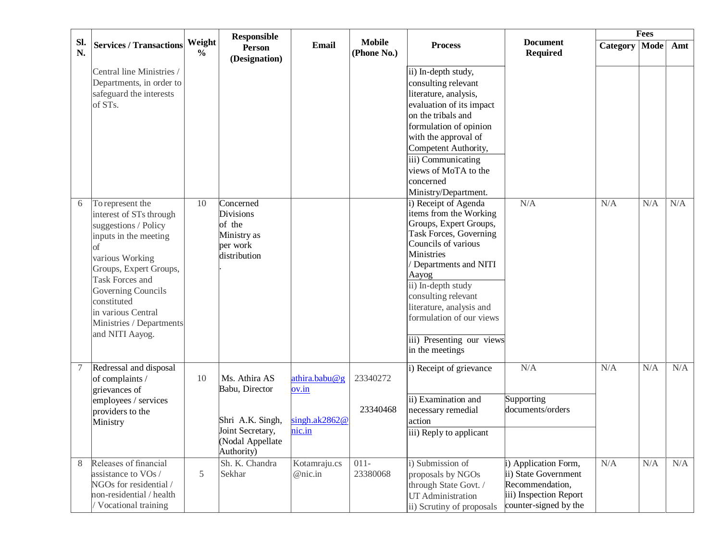|           |                                                                                                                                                                                                                                                                                                |                         | <b>Responsible</b>                                                                                        |                                                   |                              |                                                                                                                                                                                                                                                                                                                               |                                                                                                                    |          | <b>Fees</b> |     |
|-----------|------------------------------------------------------------------------------------------------------------------------------------------------------------------------------------------------------------------------------------------------------------------------------------------------|-------------------------|-----------------------------------------------------------------------------------------------------------|---------------------------------------------------|------------------------------|-------------------------------------------------------------------------------------------------------------------------------------------------------------------------------------------------------------------------------------------------------------------------------------------------------------------------------|--------------------------------------------------------------------------------------------------------------------|----------|-------------|-----|
| SI.<br>N. | <b>Services / Transactions</b>                                                                                                                                                                                                                                                                 | Weight<br>$\frac{0}{0}$ | <b>Person</b><br>(Designation)                                                                            | <b>Email</b>                                      | <b>Mobile</b><br>(Phone No.) | <b>Process</b>                                                                                                                                                                                                                                                                                                                | <b>Document</b><br><b>Required</b>                                                                                 | Category | <b>Mode</b> | Amt |
|           | Central line Ministries /<br>Departments, in order to<br>safeguard the interests<br>of STs.                                                                                                                                                                                                    |                         |                                                                                                           |                                                   |                              | ii) In-depth study,<br>consulting relevant<br>literature, analysis,<br>evaluation of its impact<br>on the tribals and<br>formulation of opinion<br>with the approval of<br>Competent Authority,<br>iii) Communicating<br>views of MoTA to the<br>concerned<br>Ministry/Department.                                            |                                                                                                                    |          |             |     |
| 6         | To represent the<br>interest of STs through<br>suggestions / Policy<br>inputs in the meeting<br><sub>of</sub><br>various Working<br>Groups, Expert Groups,<br><b>Task Forces and</b><br>Governing Councils<br>constituted<br>in various Central<br>Ministries / Departments<br>and NITI Aayog. | 10                      | Concerned<br>Divisions<br>of the<br>Ministry as<br>per work<br>distribution                               |                                                   |                              | i) Receipt of Agenda<br>items from the Working<br>Groups, Expert Groups,<br>Task Forces, Governing<br>Councils of various<br>Ministries<br>Departments and NITI<br>Aayog<br>ii) In-depth study<br>consulting relevant<br>literature, analysis and<br>formulation of our views<br>iii) Presenting our views<br>in the meetings | N/A                                                                                                                | N/A      | N/A         | N/A |
|           | Redressal and disposal<br>of complaints /<br>grievances of<br>employees / services<br>providers to the<br>Ministry                                                                                                                                                                             | 10                      | Ms. Athira AS<br>Babu, Director<br>Shri A.K. Singh,<br>Joint Secretary,<br>(Nodal Appellate<br>Authority) | athira.babu@g<br>ov.in<br>singh.ak2862@<br>nic.in | 23340272<br>23340468         | i) Receipt of grievance<br>ii) Examination and<br>necessary remedial<br>action<br>iii) Reply to applicant                                                                                                                                                                                                                     | N/A<br>Supporting<br>documents/orders                                                                              | N/A      | N/A         | N/A |
| 8         | Releases of financial<br>assistance to VOs /<br>NGOs for residential /<br>non-residential / health<br>Vocational training                                                                                                                                                                      | 5                       | Sh. K. Chandra<br>Sekhar                                                                                  | Kotamraju.cs<br>@nic.in                           | $011-$<br>23380068           | i) Submission of<br>proposals by NGOs<br>through State Govt. /<br>UT Administration<br>ii) Scrutiny of proposals                                                                                                                                                                                                              | i) Application Form,<br>ii) State Government<br>Recommendation,<br>iii) Inspection Report<br>counter-signed by the | N/A      | N/A         | N/A |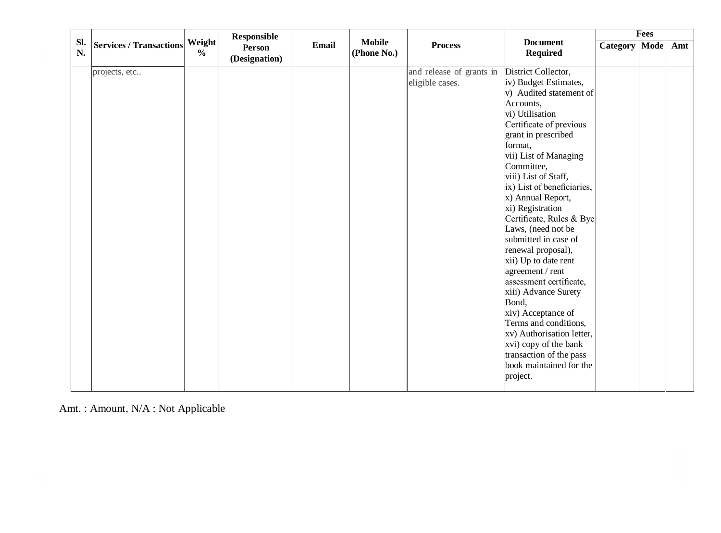|           |                                |                         | <b>Responsible</b>             |       |                              |                          |                                    |                 | <b>Fees</b> |     |  |
|-----------|--------------------------------|-------------------------|--------------------------------|-------|------------------------------|--------------------------|------------------------------------|-----------------|-------------|-----|--|
| SI.<br>N. | <b>Services / Transactions</b> | Weight<br>$\frac{0}{0}$ | <b>Person</b><br>(Designation) | Email | <b>Mobile</b><br>(Phone No.) | <b>Process</b>           | <b>Document</b><br><b>Required</b> | Category   Mode |             | Amt |  |
|           | projects, etc                  |                         |                                |       |                              | and release of grants in | District Collector,                |                 |             |     |  |
|           |                                |                         |                                |       |                              | eligible cases.          | iv) Budget Estimates,              |                 |             |     |  |
|           |                                |                         |                                |       |                              |                          | $\vert$ > Audited statement of     |                 |             |     |  |
|           |                                |                         |                                |       |                              |                          | Accounts,                          |                 |             |     |  |
|           |                                |                         |                                |       |                              |                          | vi) Utilisation                    |                 |             |     |  |
|           |                                |                         |                                |       |                              |                          | Certificate of previous            |                 |             |     |  |
|           |                                |                         |                                |       |                              |                          | grant in prescribed                |                 |             |     |  |
|           |                                |                         |                                |       |                              |                          | format,                            |                 |             |     |  |
|           |                                |                         |                                |       |                              |                          | vii) List of Managing              |                 |             |     |  |
|           |                                |                         |                                |       |                              |                          | Committee,                         |                 |             |     |  |
|           |                                |                         |                                |       |                              |                          | viii) List of Staff,               |                 |             |     |  |
|           |                                |                         |                                |       |                              |                          | ix) List of beneficiaries,         |                 |             |     |  |
|           |                                |                         |                                |       |                              |                          | x) Annual Report,                  |                 |             |     |  |
|           |                                |                         |                                |       |                              |                          | xi) Registration                   |                 |             |     |  |
|           |                                |                         |                                |       |                              |                          | Certificate, Rules & Bye           |                 |             |     |  |
|           |                                |                         |                                |       |                              |                          | Laws, (need not be                 |                 |             |     |  |
|           |                                |                         |                                |       |                              |                          | submitted in case of               |                 |             |     |  |
|           |                                |                         |                                |       |                              |                          | renewal proposal),                 |                 |             |     |  |
|           |                                |                         |                                |       |                              |                          | xii) Up to date rent               |                 |             |     |  |
|           |                                |                         |                                |       |                              |                          | agreement / rent                   |                 |             |     |  |
|           |                                |                         |                                |       |                              |                          | assessment certificate,            |                 |             |     |  |
|           |                                |                         |                                |       |                              |                          | xiii) Advance Surety               |                 |             |     |  |
|           |                                |                         |                                |       |                              |                          | Bond,                              |                 |             |     |  |
|           |                                |                         |                                |       |                              |                          | xiv) Acceptance of                 |                 |             |     |  |
|           |                                |                         |                                |       |                              |                          | Terms and conditions,              |                 |             |     |  |
|           |                                |                         |                                |       |                              |                          | xv) Authorisation letter,          |                 |             |     |  |
|           |                                |                         |                                |       |                              |                          | xvi) copy of the bank              |                 |             |     |  |
|           |                                |                         |                                |       |                              |                          | transaction of the pass            |                 |             |     |  |
|           |                                |                         |                                |       |                              |                          | book maintained for the            |                 |             |     |  |
|           |                                |                         |                                |       |                              |                          | project.                           |                 |             |     |  |
|           |                                |                         |                                |       |                              |                          |                                    |                 |             |     |  |

Amt. : Amount, N/A : Not Applicable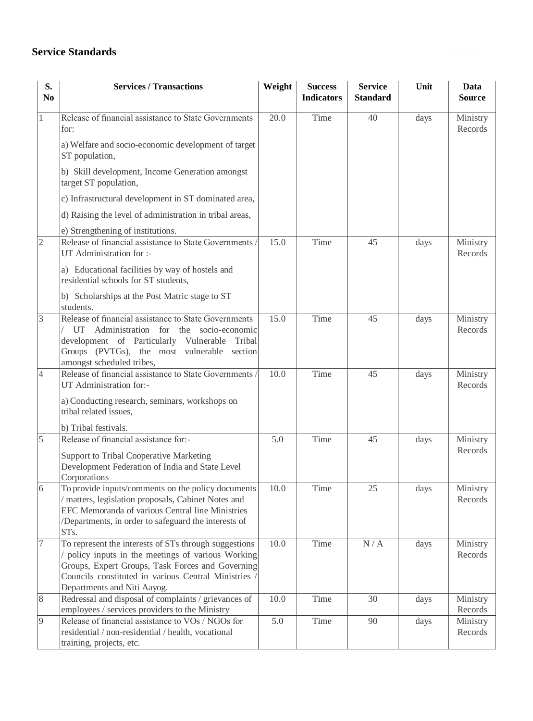## **Service Standards**

| S.<br>No       | <b>Services / Transactions</b>                                                                                                                                                                                                                     | Weight | <b>Success</b><br><b>Indicators</b> | <b>Service</b><br><b>Standard</b> | Unit | Data<br><b>Source</b> |
|----------------|----------------------------------------------------------------------------------------------------------------------------------------------------------------------------------------------------------------------------------------------------|--------|-------------------------------------|-----------------------------------|------|-----------------------|
|                | Release of financial assistance to State Governments<br>for:                                                                                                                                                                                       | 20.0   | Time                                | 40                                | days | Ministry<br>Records   |
|                | a) Welfare and socio-economic development of target<br>ST population,                                                                                                                                                                              |        |                                     |                                   |      |                       |
|                | b) Skill development, Income Generation amongst<br>target ST population,                                                                                                                                                                           |        |                                     |                                   |      |                       |
|                | c) Infrastructural development in ST dominated area,                                                                                                                                                                                               |        |                                     |                                   |      |                       |
|                | d) Raising the level of administration in tribal areas,                                                                                                                                                                                            |        |                                     |                                   |      |                       |
|                | e) Strengthening of institutions.                                                                                                                                                                                                                  |        |                                     |                                   |      |                       |
| $\overline{2}$ | Release of financial assistance to State Governments /<br>UT Administration for :-                                                                                                                                                                 | 15.0   | Time                                | 45                                | days | Ministry<br>Records   |
|                | a) Educational facilities by way of hostels and<br>residential schools for ST students,                                                                                                                                                            |        |                                     |                                   |      |                       |
|                | b) Scholarships at the Post Matric stage to ST<br>students.                                                                                                                                                                                        |        |                                     |                                   |      |                       |
| 3              | Release of financial assistance to State Governments<br>UT<br>Administration for the socio-economic<br>development of Particularly Vulnerable<br>Tribal<br>Groups (PVTGs), the most vulnerable section<br>amongst scheduled tribes,                | 15.0   | Time                                | 45                                | days | Ministry<br>Records   |
| $\overline{4}$ | Release of financial assistance to State Governments<br>UT Administration for:-<br>a) Conducting research, seminars, workshops on<br>tribal related issues,<br>b) Tribal festivals.                                                                | 10.0   | Time                                | 45                                | days | Ministry<br>Records   |
| 5              | Release of financial assistance for:-                                                                                                                                                                                                              | 5.0    | Time                                | 45                                | days | Ministry              |
|                | Support to Tribal Cooperative Marketing<br>Development Federation of India and State Level<br>Corporations                                                                                                                                         |        |                                     |                                   |      | Records               |
| 6              | To provide inputs/comments on the policy documents<br>/ matters, legislation proposals, Cabinet Notes and<br>EFC Memoranda of various Central line Ministries<br>/Departments, in order to safeguard the interests of<br>STs.                      | 10.0   | Time                                | 25                                | days | Ministry<br>Records   |
| 7              | To represent the interests of STs through suggestions<br>policy inputs in the meetings of various Working<br>Groups, Expert Groups, Task Forces and Governing<br>Councils constituted in various Central Ministries<br>Departments and Niti Aayog. | 10.0   | Time                                | N/A                               | days | Ministry<br>Records   |
| 8              | Redressal and disposal of complaints / grievances of<br>employees / services providers to the Ministry                                                                                                                                             | 10.0   | Time                                | 30                                | days | Ministry<br>Records   |
| $\overline{9}$ | Release of financial assistance to VOs / NGOs for<br>residential / non-residential / health, vocational<br>training, projects, etc.                                                                                                                | 5.0    | Time                                | 90                                | days | Ministry<br>Records   |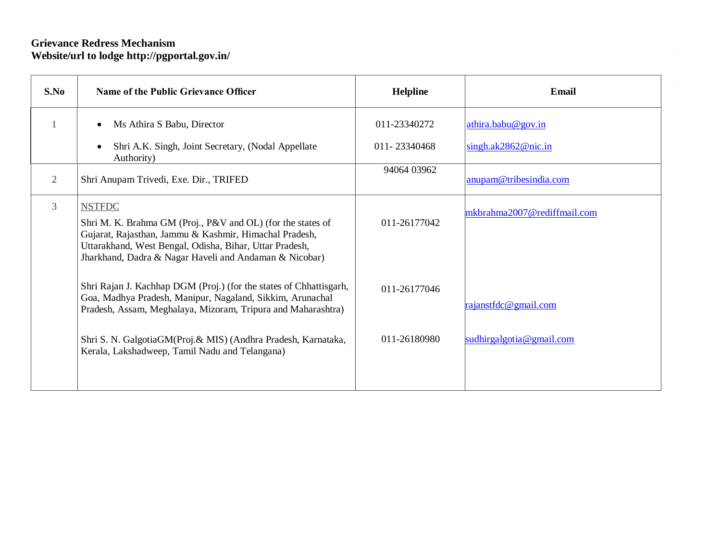### **Grievance Redress Mechanism Website/url to lodge<http://pgportal.gov.in/>**

| S.No | <b>Name of the Public Grievance Officer</b>                                                                                                                                                                                                                 | <b>Helpline</b> | Email                       |
|------|-------------------------------------------------------------------------------------------------------------------------------------------------------------------------------------------------------------------------------------------------------------|-----------------|-----------------------------|
|      | Ms Athira S Babu, Director                                                                                                                                                                                                                                  | 011-23340272    | athira.babu@gov.in          |
|      | Shri A.K. Singh, Joint Secretary, (Nodal Appellate<br>Authority)                                                                                                                                                                                            | 011-23340468    | singh.ak $2862@$ nic.in     |
| 2    | Shri Anupam Trivedi, Exe. Dir., TRIFED                                                                                                                                                                                                                      | 94064 03962     | anupam@tribesindia.com      |
| 3    | <b>NSTFDC</b><br>Shri M. K. Brahma GM (Proj., P&V and OL) (for the states of<br>Gujarat, Rajasthan, Jammu & Kashmir, Himachal Pradesh,<br>Uttarakhand, West Bengal, Odisha, Bihar, Uttar Pradesh,<br>Jharkhand, Dadra & Nagar Haveli and Andaman & Nicobar) | 011-26177042    | mkbrahma2007@rediffmail.com |
|      | Shri Rajan J. Kachhap DGM (Proj.) (for the states of Chhattisgarh,<br>Goa, Madhya Pradesh, Manipur, Nagaland, Sikkim, Arunachal<br>Pradesh, Assam, Meghalaya, Mizoram, Tripura and Maharashtra)                                                             | 011-26177046    | rajanstfdc@gmail.com        |
|      | Shri S. N. GalgotiaGM(Proj. & MIS) (Andhra Pradesh, Karnataka,<br>Kerala, Lakshadweep, Tamil Nadu and Telangana)                                                                                                                                            | 011-26180980    | sudhirgalgotia@gmail.com    |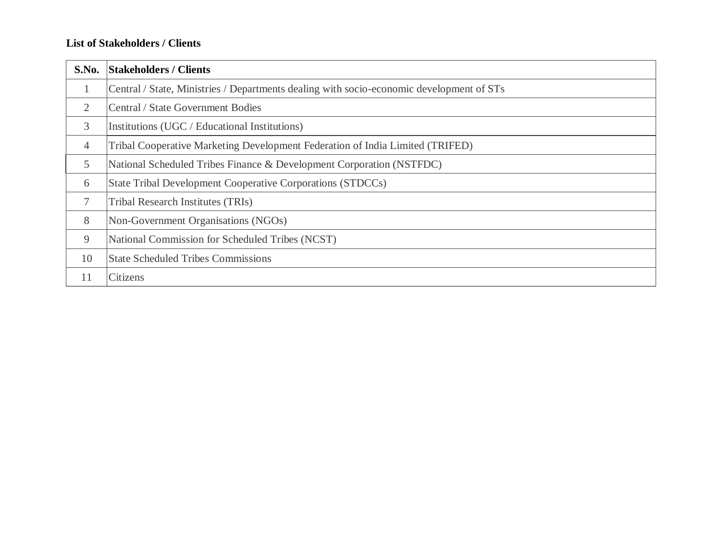### **List of Stakeholders / Clients**

| S.No.          | <b>Stakeholders / Clients</b>                                                            |
|----------------|------------------------------------------------------------------------------------------|
| $\mathbf{1}$   | Central / State, Ministries / Departments dealing with socio-economic development of STs |
| $\overline{2}$ | Central / State Government Bodies                                                        |
| 3              | Institutions (UGC / Educational Institutions)                                            |
| 4              | Tribal Cooperative Marketing Development Federation of India Limited (TRIFED)            |
| 5              | National Scheduled Tribes Finance & Development Corporation (NSTFDC)                     |
| 6              | State Tribal Development Cooperative Corporations (STDCCs)                               |
| 7              | Tribal Research Institutes (TRIs)                                                        |
| 8              | Non-Government Organisations (NGOs)                                                      |
| 9              | National Commission for Scheduled Tribes (NCST)                                          |
| 10             | <b>State Scheduled Tribes Commissions</b>                                                |
| 11             | Citizens                                                                                 |